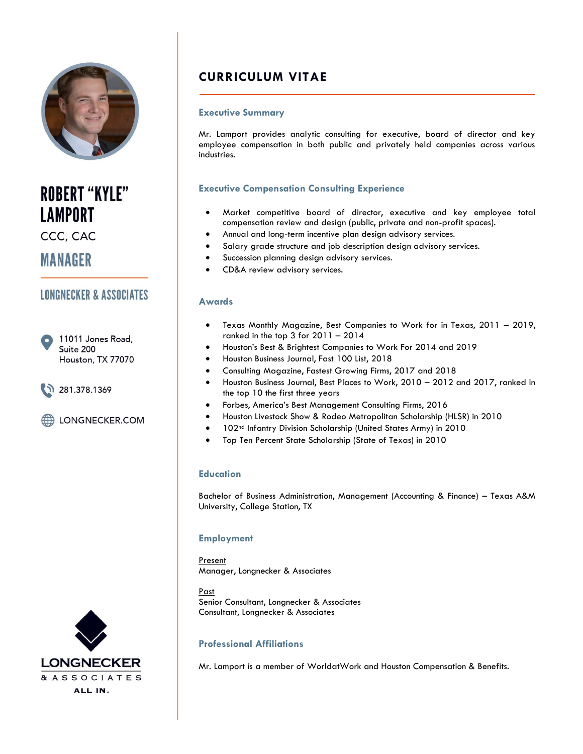

**ROBERT "KYLE" LAMPORT** 

CCC, CAC

**MANAGER** 

## **LONGNECKER & ASSOCIATES**

11011 Jones Road, Suite 200 Houston, TX 77070



LONGNECKER.COM



# **CURRICULUM VITAE**

## **Executive Summary**

Mr. Lamport provides analytic consulting for executive, board of director and key employee compensation in both public and privately held companies across various industries.

## **Executive Compensation Consulting Experience**

- Market competitive board of director, executive and key employee total compensation review and design (public, private and non-profit spaces).
- Annual and long-term incentive plan design advisory services.
- Salary grade structure and job description design advisory services.
- Succession planning design advisory services.
- CD&A review advisory services.

### **Awards**

- Texas Monthly Magazine, Best Companies to Work for in Texas, 2011 2019, ranked in the top 3 for 2011 – 2014
- Houston's Best & Brightest Companies to Work For 2014 and 2019
- Houston Business Journal, Fast 100 List, 2018
- Consulting Magazine, Fastest Growing Firms, 2017 and 2018
- Houston Business Journal, Best Places to Work, 2010 2012 and 2017, ranked in the top 10 the first three years
- Forbes, America's Best Management Consulting Firms, 2016
- Houston Livestock Show & Rodeo Metropolitan Scholarship (HLSR) in 2010
- 102<sup>nd</sup> Infantry Division Scholarship (United States Army) in 2010
- Top Ten Percent State Scholarship (State of Texas) in 2010

## **Education**

Bachelor of Business Administration, Management (Accounting & Finance) – Texas A&M University, College Station, TX

## **Employment**

Present Manager, Longnecker & Associates

Past Senior Consultant, Longnecker & Associates Consultant, Longnecker & Associates

## **Professional Affiliations**

Mr. Lamport is a member of WorldatWork and Houston Compensation & Benefits.